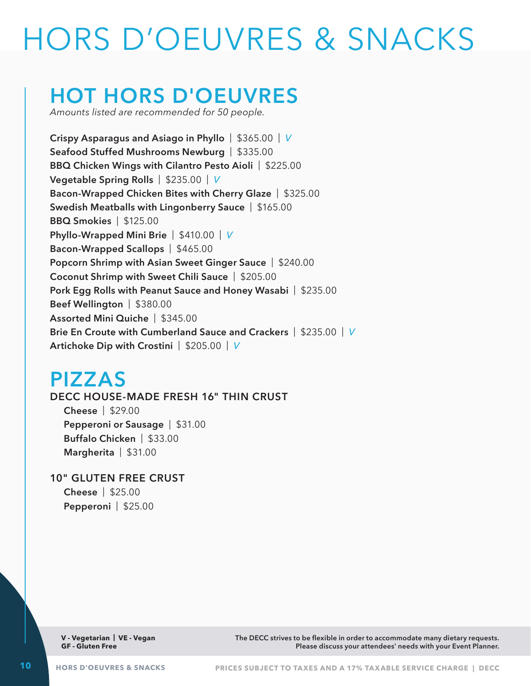# HORS D'OEUVRES & SNACKS

# **HOT HORS D'OEUVRES**

*Amounts listed are recommended for 50 people.*

**Crispy Asparagus and Asiago in Phyllo** | \$365.00 | *V* **Seafood Stuffed Mushrooms Newburg** | \$335.00 **BBQ Chicken Wings with Cilantro Pesto Aioli** | \$225.00 **Vegetable Spring Rolls** | \$235.00 | *V* **Bacon-Wrapped Chicken Bites with Cherry Glaze** | \$325.00 **Swedish Meatballs with Lingonberry Sauce** | \$165.00 **BBQ Smokies** | \$125.00 **Phyllo-Wrapped Mini Brie** | \$410.00 | *V* **Bacon-Wrapped Scallops** | \$465.00 **Popcorn Shrimp with Asian Sweet Ginger Sauce** | \$240.00 **Coconut Shrimp with Sweet Chili Sauce** | \$205.00 **Pork Egg Rolls with Peanut Sauce and Honey Wasabi** | \$235.00 **Beef Wellington** | \$380.00 **Assorted Mini Quiche** | \$345.00 **Brie En Croute with Cumberland Sauce and Crackers** | \$235.00 | *V* **Artichoke Dip with Crostini** | \$205.00 | *V*

## **PIZZAS**

#### **DECC HOUSE-MADE FRESH 16" THIN CRUST**

**Cheese** | \$29.00 **Pepperoni or Sausage** | \$31.00 **Buffalo Chicken** | \$33.00 **Margherita** | \$31.00

#### **10" GLUTEN FREE CRUST**

**Cheese** | \$25.00 **Pepperoni** | \$25.00

**V - Vegetarian | VE - Vegan GF - Gluten Free**

**The DECC strives to be flexible in order to accommodate many dietary requests. Please discuss your attendees' needs with your Event Planner.**